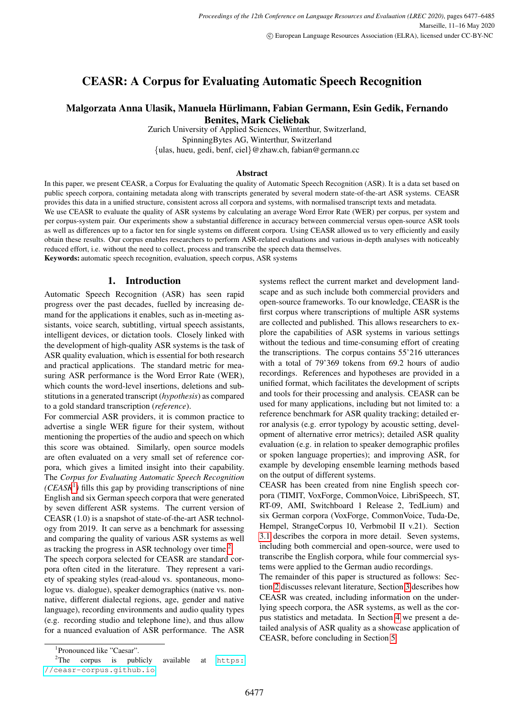# CEASR: A Corpus for Evaluating Automatic Speech Recognition

# Malgorzata Anna Ulasik, Manuela Hurlimann, Fabian Germann, Esin Gedik, Fernando ¨ Benites, Mark Cieliebak

Zurich University of Applied Sciences, Winterthur, Switzerland, SpinningBytes AG, Winterthur, Switzerland {ulas, hueu, gedi, benf, ciel}@zhaw.ch, fabian@germann.cc

#### Abstract

In this paper, we present CEASR, a Corpus for Evaluating the quality of Automatic Speech Recognition (ASR). It is a data set based on public speech corpora, containing metadata along with transcripts generated by several modern state-of-the-art ASR systems. CEASR provides this data in a unified structure, consistent across all corpora and systems, with normalised transcript texts and metadata.

We use CEASR to evaluate the quality of ASR systems by calculating an average Word Error Rate (WER) per corpus, per system and per corpus-system pair. Our experiments show a substantial difference in accuracy between commercial versus open-source ASR tools as well as differences up to a factor ten for single systems on different corpora. Using CEASR allowed us to very efficiently and easily obtain these results. Our corpus enables researchers to perform ASR-related evaluations and various in-depth analyses with noticeably reduced effort, i.e. without the need to collect, process and transcribe the speech data themselves.

Keywords: automatic speech recognition, evaluation, speech corpus, ASR systems

#### 1. Introduction

Automatic Speech Recognition (ASR) has seen rapid progress over the past decades, fuelled by increasing demand for the applications it enables, such as in-meeting assistants, voice search, subtitling, virtual speech assistants, intelligent devices, or dictation tools. Closely linked with the development of high-quality ASR systems is the task of ASR quality evaluation, which is essential for both research and practical applications. The standard metric for measuring ASR performance is the Word Error Rate (WER), which counts the word-level insertions, deletions and substitutions in a generated transcript (*hypothesis*) as compared to a gold standard transcription (*reference*).

For commercial ASR providers, it is common practice to advertise a single WER figure for their system, without mentioning the properties of the audio and speech on which this score was obtained. Similarly, open source models are often evaluated on a very small set of reference corpora, which gives a limited insight into their capability. The *Corpus for Evaluating Automatic Speech Recognition (CEASR*[1](#page-0-0) *)* fills this gap by providing transcriptions of nine English and six German speech corpora that were generated by seven different ASR systems. The current version of CEASR (1.0) is a snapshot of state-of-the-art ASR technology from 2019. It can serve as a benchmark for assessing and comparing the quality of various ASR systems as well as tracking the progress in ASR technology over time.<sup>[2](#page-0-1)</sup>

The speech corpora selected for CEASR are standard corpora often cited in the literature. They represent a variety of speaking styles (read-aloud vs. spontaneous, monologue vs. dialogue), speaker demographics (native vs. nonnative, different dialectal regions, age, gender and native language), recording environments and audio quality types (e.g. recording studio and telephone line), and thus allow for a nuanced evaluation of ASR performance. The ASR systems reflect the current market and development landscape and as such include both commercial providers and open-source frameworks. To our knowledge, CEASR is the first corpus where transcriptions of multiple ASR systems are collected and published. This allows researchers to explore the capabilities of ASR systems in various settings without the tedious and time-consuming effort of creating the transcriptions. The corpus contains 55'216 utterances with a total of 79'369 tokens from 69.2 hours of audio recordings. References and hypotheses are provided in a unified format, which facilitates the development of scripts and tools for their processing and analysis. CEASR can be used for many applications, including but not limited to: a reference benchmark for ASR quality tracking; detailed error analysis (e.g. error typology by acoustic setting, development of alternative error metrics); detailed ASR quality evaluation (e.g. in relation to speaker demographic profiles or spoken language properties); and improving ASR, for example by developing ensemble learning methods based on the output of different systems.

CEASR has been created from nine English speech corpora (TIMIT, VoxForge, CommonVoice, LibriSpeech, ST, RT-09, AMI, Switchboard 1 Release 2, TedLium) and six German corpora (VoxForge, CommonVoice, Tuda-De, Hempel, StrangeCorpus 10, Verbmobil II v.21). Section [3.1](#page-1-0) describes the corpora in more detail. Seven systems, including both commercial and open-source, were used to transcribe the English corpora, while four commercial systems were applied to the German audio recordings.

<span id="page-0-2"></span>The remainder of this paper is structured as follows: Section [2](#page-0-2) discusses relevant literature, Section [3](#page-1-1) describes how CEASR was created, including information on the underlying speech corpora, the ASR systems, as well as the corpus statistics and metadata. In Section [4](#page-4-0) we present a detailed analysis of ASR quality as a showcase application of CEASR, before concluding in Section [5.](#page-7-0)

<span id="page-0-1"></span><span id="page-0-0"></span><sup>1</sup> Pronounced like "Caesar".

<sup>&</sup>lt;sup>2</sup>The corpus is publicly available at [https:](https://ceasr-corpus.github.io) [//ceasr-corpus.github.io](https://ceasr-corpus.github.io).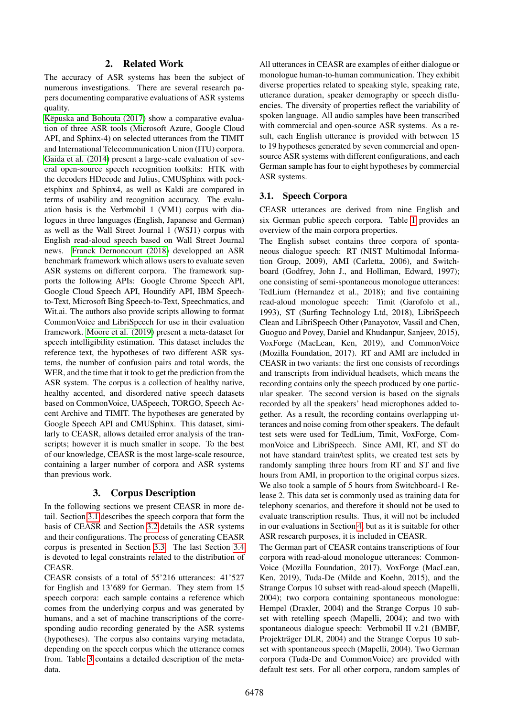# 2. Related Work

The accuracy of ASR systems has been the subject of numerous investigations. There are several research papers documenting comparative evaluations of ASR systems quality.

Këpuska and Bohouta (2017) show a comparative evaluation of three ASR tools (Microsoft Azure, Google Cloud API, and Sphinx-4) on selected utterances from the TIMIT and International Telecommunication Union (ITU) corpora. [Gaida et al. \(2014\)](#page-8-1) present a large-scale evaluation of several open-source speech recognition toolkits: HTK with the decoders HDecode and Julius, CMUSphinx with pocketsphinx and Sphinx4, as well as Kaldi are compared in terms of usability and recognition accuracy. The evaluation basis is the Verbmobil 1 (VM1) corpus with dialogues in three languages (English, Japanese and German) as well as the Wall Street Journal 1 (WSJ1) corpus with English read-aloud speech based on Wall Street Journal news. [Franck Dernoncourt \(2018\)](#page-8-2) developped an ASR benchmark framework which allows users to evaluate seven ASR systems on different corpora. The framework supports the following APIs: Google Chrome Speech API, Google Cloud Speech API, Houndify API, IBM Speechto-Text, Microsoft Bing Speech-to-Text, Speechmatics, and Wit.ai. The authors also provide scripts allowing to format CommonVoice and LibriSpeech for use in their evaluation framework. [Moore et al. \(2019\)](#page-8-3) present a meta-dataset for speech intelligibility estimation. This dataset includes the reference text, the hypotheses of two different ASR systems, the number of confusion pairs and total words, the WER, and the time that it took to get the prediction from the ASR system. The corpus is a collection of healthy native, healthy accented, and disordered native speech datasets based on CommonVoice, UASpeech, TORGO, Speech Accent Archive and TIMIT. The hypotheses are generated by Google Speech API and CMUSphinx. This dataset, similarly to CEASR, allows detailed error analysis of the transcripts; however it is much smaller in scope. To the best of our knowledge, CEASR is the most large-scale resource, containing a larger number of corpora and ASR systems than previous work.

# 3. Corpus Description

<span id="page-1-1"></span>In the following sections we present CEASR in more detail. Section [3.1](#page-1-0) describes the speech corpora that form the basis of CEASR and Section [3.2](#page-2-0) details the ASR systems and their configurations. The process of generating CEASR corpus is presented in Section [3.3.](#page-3-0) The last Section [3.4](#page-4-1) is devoted to legal constraints related to the distribution of **CEASR**.

CEASR consists of a total of 55'216 utterances: 41'527 for English and 13'689 for German. They stem from 15 speech corpora: each sample contains a reference which comes from the underlying corpus and was generated by humans, and a set of machine transcriptions of the corresponding audio recording generated by the ASR systems (hypotheses). The corpus also contains varying metadata, depending on the speech corpus which the utterance comes from. Table [3](#page-4-2) contains a detailed description of the metadata.

All utterances in CEASR are examples of either dialogue or monologue human-to-human communication. They exhibit diverse properties related to speaking style, speaking rate, utterance duration, speaker demography or speech disfluencies. The diversity of properties reflect the variability of spoken language. All audio samples have been transcribed with commercial and open-source ASR systems. As a result, each English utterance is provided with between 15 to 19 hypotheses generated by seven commercial and opensource ASR systems with different configurations, and each German sample has four to eight hypotheses by commercial ASR systems.

## <span id="page-1-0"></span>3.1. Speech Corpora

CEASR utterances are derived from nine English and six German public speech corpora. Table [1](#page-2-1) provides an overview of the main corpora properties.

The English subset contains three corpora of spontaneous dialogue speech: RT (NIST Multimodal Information Group, 2009), AMI (Carletta, 2006), and Switchboard (Godfrey, John J., and Holliman, Edward, 1997); one consisting of semi-spontaneous monologue utterances: TedLium (Hernandez et al., 2018); and five containing read-aloud monologue speech: Timit (Garofolo et al., 1993), ST (Surfing Technology Ltd, 2018), LibriSpeech Clean and LibriSpeech Other (Panayotov, Vassil and Chen, Guoguo and Povey, Daniel and Khudanpur, Sanjeev, 2015), VoxForge (MacLean, Ken, 2019), and CommonVoice (Mozilla Foundation, 2017). RT and AMI are included in CEASR in two variants: the first one consists of recordings and transcripts from individual headsets, which means the recording contains only the speech produced by one particular speaker. The second version is based on the signals recorded by all the speakers' head microphones added together. As a result, the recording contains overlapping utterances and noise coming from other speakers. The default test sets were used for TedLium, Timit, VoxForge, CommonVoice and LibriSpeech. Since AMI, RT, and ST do not have standard train/test splits, we created test sets by randomly sampling three hours from RT and ST and five hours from AMI, in proportion to the original corpus sizes. We also took a sample of 5 hours from Switchboard-1 Release 2. This data set is commonly used as training data for telephony scenarios, and therefore it should not be used to evaluate transcription results. Thus, it will not be included in our evaluations in Section [4,](#page-4-0) but as it is suitable for other ASR research purposes, it is included in CEASR.

The German part of CEASR contains transcriptions of four corpora with read-aloud monologue utterances: Common-Voice (Mozilla Foundation, 2017), VoxForge (MacLean, Ken, 2019), Tuda-De (Milde and Koehn, 2015), and the Strange Corpus 10 subset with read-aloud speech (Mapelli, 2004); two corpora containing spontaneous monologue: Hempel (Draxler, 2004) and the Strange Corpus 10 subset with retelling speech (Mapelli, 2004); and two with spontaneous dialogue speech: Verbmobil II v.21 (BMBF, Projekträger DLR, 2004) and the Strange Corpus 10 subset with spontaneous speech (Mapelli, 2004). Two German corpora (Tuda-De and CommonVoice) are provided with default test sets. For all other corpora, random samples of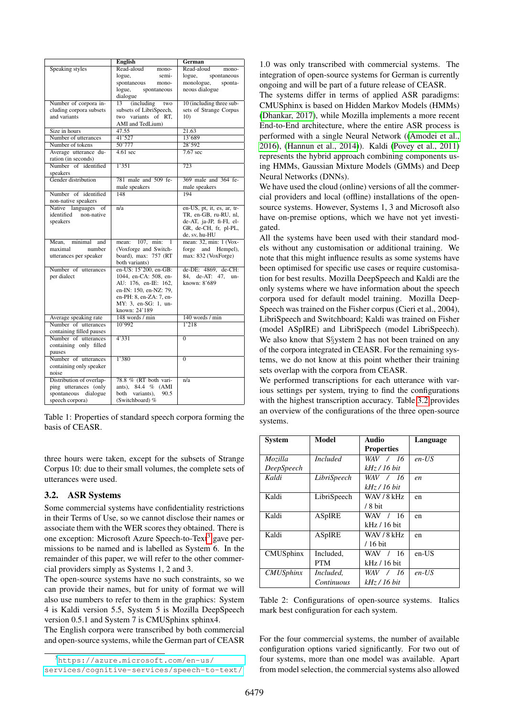|                                               | <b>English</b>                                  | German                     |
|-----------------------------------------------|-------------------------------------------------|----------------------------|
| Speaking styles                               | Read-aloud<br>mono-                             | Read-aloud<br>mono-        |
|                                               | logue,<br>semi-                                 | logue,<br>spontaneous      |
|                                               | spontaneous<br>mono-                            | monologue,<br>sponta-      |
|                                               | logue,<br>spontaneous                           | neous dialogue             |
|                                               | dialogue                                        |                            |
| Number of corpora in-                         | 13<br>(including<br>two                         | 10 (including three sub-   |
| cluding corpora subsets                       | subsets of LibriSpeech,                         | sets of Strange Corpus     |
| and variants                                  | two variants of RT,                             | 10 <sub>0</sub>            |
|                                               | AMI and TedLium)                                |                            |
| Size in hours                                 | 47.55                                           | 21.63                      |
| Number of utterances                          | 41'527                                          | 13'689                     |
| Number of tokens                              | 50'777                                          | 28'592                     |
| Average utterance du-                         | $4.61 \text{ sec}$                              | $7.67$ sec                 |
| ration (in seconds)                           |                                                 |                            |
| Number of identified                          | 1'351                                           | 723                        |
| speakers                                      |                                                 |                            |
| Gender distribution                           | 781 male and 509 fe-                            | 369 male and 364 fe-       |
|                                               | male speakers                                   | male speakers              |
| Number of identified                          | 148                                             | 194                        |
| non-native speakers                           |                                                 |                            |
| Native languages<br>of                        | n/a                                             | en-US, pt, it, es, ar, tr- |
| identified non-native                         |                                                 | TR, en-GB, ru-RU, nl,      |
| speakers                                      |                                                 | de-AT, ja-JP, fi-FI, el-   |
|                                               |                                                 | GR, de-CH, fr, pl-PL,      |
|                                               |                                                 | de, sv, hu-HU              |
| Mean. minimal<br>and                          | mean: $107$ , min:                              | mean: 32, min: 1 (Vox-     |
| number<br>maximal                             | (Voxforge and Switch-                           | forge and Hempel),         |
| utterances per speaker                        | board), max: 757 (RT)                           | max: 832 (VoxForge)        |
|                                               | both variants)                                  |                            |
| Number of utterances                          | en-US: 15'200, en-GB:                           | de-DE: 4869, de-CH:        |
| per dialect                                   | 1044, en-CA: 508, en-                           | 84, de-AT: 47,<br>un-      |
|                                               | AU: 176. en-IE: 162.                            | known: 8'689               |
|                                               | en-IN: 150, en-NZ: 79,                          |                            |
|                                               | en-PH: 8, en-ZA: 7, en-<br>MY: 3, en-SG: 1, un- |                            |
|                                               | known: 24'189                                   |                            |
|                                               | 148 words / min                                 | 140 words / min            |
| Average speaking rate<br>Number of utterances | 10'992                                          | 1'218                      |
| containing filled pauses                      |                                                 |                            |
| Number of utterances                          | 4'331                                           | $\overline{0}$             |
| containing only filled                        |                                                 |                            |
| pauses                                        |                                                 |                            |
| Number of utterances                          | 1'380                                           | $\overline{0}$             |
| containing only speaker                       |                                                 |                            |
| noise                                         |                                                 |                            |
| Distribution of overlap-                      | 78.8 % (RT both vari-                           | n/a                        |
| ping utterances (only                         | ants), 84.4 % (AMI                              |                            |
| spontaneous<br>dialogue                       | variants),<br>90.5<br>both                      |                            |
| speech corpora)                               | (Switchboard) %                                 |                            |
|                                               |                                                 |                            |

<span id="page-2-1"></span>Table 1: Properties of standard speech corpora forming the basis of CEASR.

three hours were taken, except for the subsets of Strange Corpus 10: due to their small volumes, the complete sets of utterances were used.

#### <span id="page-2-0"></span>3.2. ASR Systems

Some commercial systems have confidentiality restrictions in their Terms of Use, so we cannot disclose their names or associate them with the WER scores they obtained. There is one exception: Microsoft Azure Speech-to-Text<sup>[3](#page-2-2)</sup> gave permissions to be named and is labelled as System 6. In the remainder of this paper, we will refer to the other commercial providers simply as Systems 1, 2 and 3.

The open-source systems have no such constraints, so we can provide their names, but for unity of format we will also use numbers to refer to them in the graphics: System 4 is Kaldi version 5.5, System 5 is Mozilla DeepSpeech version 0.5.1 and System 7 is CMUSphinx sphinx4.

The English corpora were transcribed by both commercial and open-source systems, while the German part of CEASR

1.0 was only transcribed with commercial systems. The integration of open-source systems for German is currently ongoing and will be part of a future release of CEASR.

The systems differ in terms of applied ASR paradigms: CMUSphinx is based on Hidden Markov Models (HMMs) [\(Dhankar, 2017\)](#page-8-4), while Mozilla implements a more recent End-to-End architecture, where the entire ASR process is performed with a single Neural Network ([\(Amodei et al.,](#page-8-5) [2016\)](#page-8-5), [\(Hannun et al., 2014\)](#page-8-6)). Kaldi [\(Povey et al., 2011\)](#page-8-7) represents the hybrid approach combining components using HMMs, Gaussian Mixture Models (GMMs) and Deep Neural Networks (DNNs).

We have used the cloud (online) versions of all the commercial providers and local (offline) installations of the opensource systems. However, Systems 1, 3 and Microsoft also have on-premise options, which we have not yet investigated.

All the systems have been used with their standard models without any customisation or additional training. We note that this might influence results as some systems have been optimised for specific use cases or require customisation for best results. Mozilla DeepSpeech and Kaldi are the only systems where we have information about the speech corpora used for default model training. Mozilla Deep-Speech was trained on the Fisher corpus (Cieri et al., 2004), LibriSpeech and Switchboard; Kaldi was trained on Fisher (model ASpIRE) and LibriSpeech (model LibriSpeech). We also know that S§ystem 2 has not been trained on any of the corpora integrated in CEASR. For the remaining systems, we do not know at this point whether their training sets overlap with the corpora from CEASR.

We performed transcriptions for each utterance with various settings per system, trying to find the configurations with the highest transcription accuracy. Table [3.2](#page-2-3) provides an overview of the configurations of the three open-source systems.

| <b>System</b>    | Model           | <b>Audio</b>      | Language |
|------------------|-----------------|-------------------|----------|
|                  |                 | <b>Properties</b> |          |
| Mozilla          | <i>Included</i> | WAV / 16          | $en$ -US |
| DeepSpeech       |                 | kHz / 16 bit      |          |
| Kaldi            | LibriSpeech     | WAV / 16          | en       |
|                  |                 | kHz / 16 bit      |          |
| Kaldi            | LibriSpeech     | WAV / 8 kHz       | en       |
|                  |                 | $/8$ bit          |          |
| Kaldi            | <b>ASpIRE</b>   | WAV / 16          | en       |
|                  |                 | kHz / 16 bit      |          |
| Kaldi            | <b>ASpIRE</b>   | WAV / 8 kHz       | en       |
|                  |                 | $/16$ bit         |          |
| CMUSphinx        | Included.       | WAV / 16          | $en-US$  |
|                  | <b>PTM</b>      | kHz / 16 bit      |          |
| <b>CMUSphinx</b> | Included.       | WAV / 16          | $en$ -US |
|                  | Continuous      | kHz / 16 bit      |          |

<span id="page-2-3"></span>Table 2: Configurations of open-source systems. Italics mark best configuration for each system.

For the four commercial systems, the number of available configuration options varied significantly. For two out of four systems, more than one model was available. Apart from model selection, the commercial systems also allowed

<span id="page-2-2"></span><sup>3</sup>[https://azure.microsoft.com/en-us/](https://azure.microsoft.com/en-us/services/cognitive-services/speech-to-text/) [services/cognitive-services/speech-to-text/](https://azure.microsoft.com/en-us/services/cognitive-services/speech-to-text/)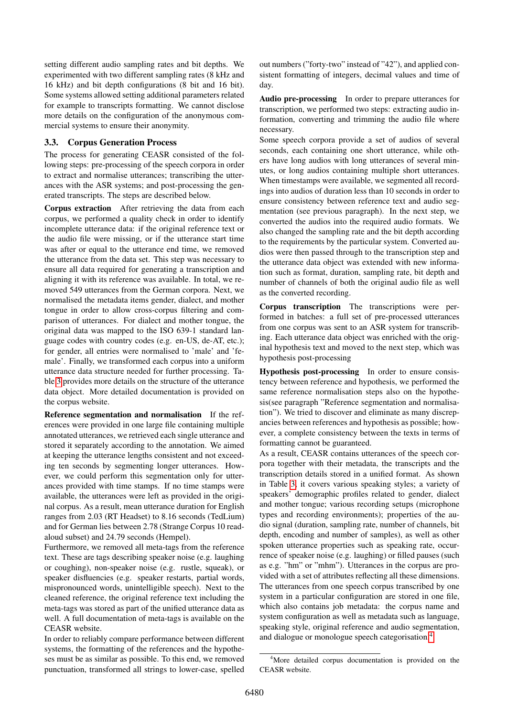setting different audio sampling rates and bit depths. We experimented with two different sampling rates (8 kHz and 16 kHz) and bit depth configurations (8 bit and 16 bit). Some systems allowed setting additional parameters related for example to transcripts formatting. We cannot disclose more details on the configuration of the anonymous commercial systems to ensure their anonymity.

#### <span id="page-3-0"></span>3.3. Corpus Generation Process

The process for generating CEASR consisted of the following steps: pre-processing of the speech corpora in order to extract and normalise utterances; transcribing the utterances with the ASR systems; and post-processing the generated transcripts. The steps are described below.

Corpus extraction After retrieving the data from each corpus, we performed a quality check in order to identify incomplete utterance data: if the original reference text or the audio file were missing, or if the utterance start time was after or equal to the utterance end time, we removed the utterance from the data set. This step was necessary to ensure all data required for generating a transcription and aligning it with its reference was available. In total, we removed 549 utterances from the German corpora. Next, we normalised the metadata items gender, dialect, and mother tongue in order to allow cross-corpus filtering and comparison of utterances. For dialect and mother tongue, the original data was mapped to the ISO 639-1 standard language codes with country codes (e.g. en-US, de-AT, etc.); for gender, all entries were normalised to 'male' and 'female'. Finally, we transformed each corpus into a uniform utterance data structure needed for further processing. Table [3](#page-4-2) provides more details on the structure of the utterance data object. More detailed documentation is provided on the corpus website.

Reference segmentation and normalisation If the references were provided in one large file containing multiple annotated utterances, we retrieved each single utterance and stored it separately according to the annotation. We aimed at keeping the utterance lengths consistent and not exceeding ten seconds by segmenting longer utterances. However, we could perform this segmentation only for utterances provided with time stamps. If no time stamps were available, the utterances were left as provided in the original corpus. As a result, mean utterance duration for English ranges from 2.03 (RT Headset) to 8.16 seconds (TedLium) and for German lies between 2.78 (Strange Corpus 10 readaloud subset) and 24.79 seconds (Hempel).

Furthermore, we removed all meta-tags from the reference text. These are tags describing speaker noise (e.g. laughing or coughing), non-speaker noise (e.g. rustle, squeak), or speaker disfluencies (e.g. speaker restarts, partial words, mispronounced words, unintelligible speech). Next to the cleaned reference, the original reference text including the meta-tags was stored as part of the unified utterance data as well. A full documentation of meta-tags is available on the CEASR website.

In order to reliably compare performance between different systems, the formatting of the references and the hypotheses must be as similar as possible. To this end, we removed punctuation, transformed all strings to lower-case, spelled out numbers ("forty-two" instead of "42"), and applied consistent formatting of integers, decimal values and time of day.

Audio pre-processing In order to prepare utterances for transcription, we performed two steps: extracting audio information, converting and trimming the audio file where necessary.

Some speech corpora provide a set of audios of several seconds, each containing one short utterance, while others have long audios with long utterances of several minutes, or long audios containing multiple short utterances. When timestamps were available, we segmented all recordings into audios of duration less than 10 seconds in order to ensure consistency between reference text and audio segmentation (see previous paragraph). In the next step, we converted the audios into the required audio formats. We also changed the sampling rate and the bit depth according to the requirements by the particular system. Converted audios were then passed through to the transcription step and the utterance data object was extended with new information such as format, duration, sampling rate, bit depth and number of channels of both the original audio file as well as the converted recording.

Corpus transcription The transcriptions were performed in batches: a full set of pre-processed utterances from one corpus was sent to an ASR system for transcribing. Each utterance data object was enriched with the original hypothesis text and moved to the next step, which was hypothesis post-processing

Hypothesis post-processing In order to ensure consistency between reference and hypothesis, we performed the same reference normalisation steps also on the hypothesis(see paragraph "Reference segmentation and normalisation"). We tried to discover and eliminate as many discrepancies between references and hypothesis as possible; however, a complete consistency between the texts in terms of formatting cannot be guaranteed.

As a result, CEASR contains utterances of the speech corpora together with their metadata, the transcripts and the transcription details stored in a unified format. As shown in Table [3,](#page-4-2) it covers various speaking styles; a variety of speakers' demographic profiles related to gender, dialect and mother tongue; various recording setups (microphone types and recording environments); properties of the audio signal (duration, sampling rate, number of channels, bit depth, encoding and number of samples), as well as other spoken utterance properties such as speaking rate, occurrence of speaker noise (e.g. laughing) or filled pauses (such as e.g. "hm" or "mhm"). Utterances in the corpus are provided with a set of attributes reflecting all these dimensions. The utterances from one speech corpus transcribed by one system in a particular configuration are stored in one file, which also contains job metadata: the corpus name and system configuration as well as metadata such as language, speaking style, original reference and audio segmentation, and dialogue or monologue speech categorisation.[4](#page-3-1)

<span id="page-3-1"></span><sup>4</sup>More detailed corpus documentation is provided on the CEASR website.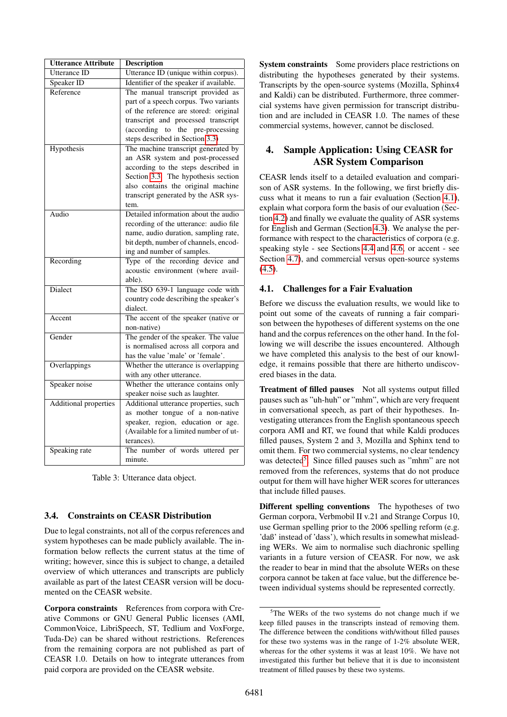| <b>Utterance Attribute</b>   | <b>Description</b>                                                                                                                                                                                                                          |
|------------------------------|---------------------------------------------------------------------------------------------------------------------------------------------------------------------------------------------------------------------------------------------|
| Utterance ID                 | Utterance ID (unique within corpus).                                                                                                                                                                                                        |
| Speaker ID                   | Identifier of the speaker if available.                                                                                                                                                                                                     |
| Reference                    | The manual transcript provided as<br>part of a speech corpus. Two variants<br>of the reference are stored: original<br>transcript and processed transcript<br>(according to the pre-processing<br>steps described in Section 3.3)           |
| Hypothesis                   | The machine transcript generated by<br>an ASR system and post-processed<br>according to the steps described in<br>Section 3.3. The hypothesis section<br>also contains the original machine<br>transcript generated by the ASR sys-<br>tem. |
| Audio                        | Detailed information about the audio<br>recording of the utterance: audio file<br>name, audio duration, sampling rate,<br>bit depth, number of channels, encod-<br>ing and number of samples.                                               |
| Recording                    | Type of the recording device and<br>acoustic environment (where avail-<br>able).                                                                                                                                                            |
| <b>Dialect</b>               | The ISO 639-1 language code with<br>country code describing the speaker's<br>dialect.                                                                                                                                                       |
| Accent                       | The accent of the speaker (native or<br>non-native)                                                                                                                                                                                         |
| Gender                       | The gender of the speaker. The value<br>is normalised across all corpora and<br>has the value 'male' or 'female'.                                                                                                                           |
| Overlappings                 | Whether the utterance is overlapping<br>with any other utterance.                                                                                                                                                                           |
| Speaker noise                | Whether the utterance contains only<br>speaker noise such as laughter.                                                                                                                                                                      |
| <b>Additional properties</b> | Additional utterance properties, such<br>as mother tongue of a non-native<br>speaker, region, education or age.<br>(Available for a limited number of ut-<br>terances).                                                                     |
| Speaking rate                | The number of words uttered per<br>minute.                                                                                                                                                                                                  |

<span id="page-4-2"></span>Table 3: Utterance data object.

# <span id="page-4-1"></span>3.4. Constraints on CEASR Distribution

Due to legal constraints, not all of the corpus references and system hypotheses can be made publicly available. The information below reflects the current status at the time of writing; however, since this is subject to change, a detailed overview of which utterances and transcripts are publicly available as part of the latest CEASR version will be documented on the CEASR website.

Corpora constraints References from corpora with Creative Commons or GNU General Public licenses (AMI, CommonVoice, LibriSpeech, ST, Tedlium and VoxForge, Tuda-De) can be shared without restrictions. References from the remaining corpora are not published as part of CEASR 1.0. Details on how to integrate utterances from paid corpora are provided on the CEASR website.

System constraints Some providers place restrictions on distributing the hypotheses generated by their systems. Transcripts by the open-source systems (Mozilla, Sphinx4 and Kaldi) can be distributed. Furthermore, three commercial systems have given permission for transcript distribution and are included in CEASR 1.0. The names of these commercial systems, however, cannot be disclosed.

# <span id="page-4-0"></span>4. Sample Application: Using CEASR for ASR System Comparison

CEASR lends itself to a detailed evaluation and comparison of ASR systems. In the following, we first briefly discuss what it means to run a fair evaluation (Section [4.1\)](#page-4-3), explain what corpora form the basis of our evaluation (Section [4.2\)](#page-5-0) and finally we evaluate the quality of ASR systems for English and German (Section [4.3\)](#page-5-1). We analyse the performance with respect to the characteristics of corpora (e.g. speaking style - see Sections [4.4](#page-5-2) and [4.6,](#page-6-0) or accent - see Section [4.7\)](#page-6-1), and commercial versus open-source systems  $(4.5)$ .

## <span id="page-4-3"></span>4.1. Challenges for a Fair Evaluation

Before we discuss the evaluation results, we would like to point out some of the caveats of running a fair comparison between the hypotheses of different systems on the one hand and the corpus references on the other hand. In the following we will describe the issues encountered. Although we have completed this analysis to the best of our knowledge, it remains possible that there are hitherto undiscovered biases in the data.

Treatment of filled pauses Not all systems output filled pauses such as "uh-huh" or "mhm", which are very frequent in conversational speech, as part of their hypotheses. Investigating utterances from the English spontaneous speech corpora AMI and RT, we found that while Kaldi produces filled pauses, System 2 and 3, Mozilla and Sphinx tend to omit them. For two commercial systems, no clear tendency was detected<sup>[5](#page-4-4)</sup>. Since filled pauses such as "mhm" are not removed from the references, systems that do not produce output for them will have higher WER scores for utterances that include filled pauses.

Different spelling conventions The hypotheses of two German corpora, Verbmobil II v.21 and Strange Corpus 10, use German spelling prior to the 2006 spelling reform (e.g. 'daß' instead of 'dass'), which results in somewhat misleading WERs. We aim to normalise such diachronic spelling variants in a future version of CEASR. For now, we ask the reader to bear in mind that the absolute WERs on these corpora cannot be taken at face value, but the difference between individual systems should be represented correctly.

<span id="page-4-4"></span><sup>5</sup>The WERs of the two systems do not change much if we keep filled pauses in the transcripts instead of removing them. The difference between the conditions with/without filled pauses for these two systems was in the range of 1-2% absolute WER, whereas for the other systems it was at least 10%. We have not investigated this further but believe that it is due to inconsistent treatment of filled pauses by these two systems.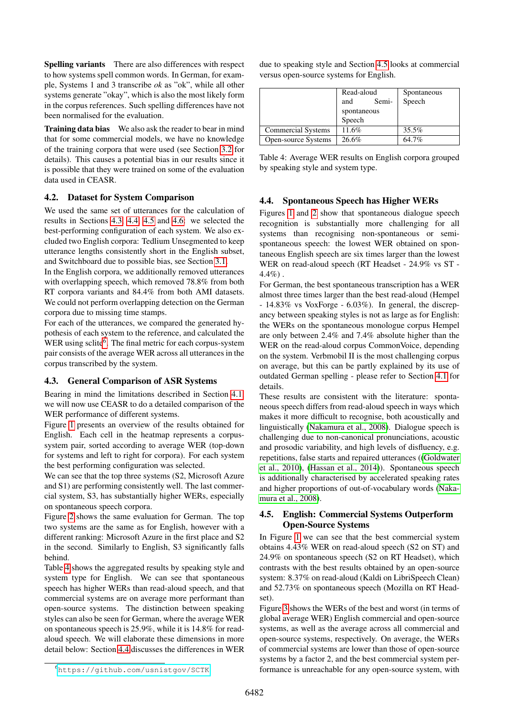Spelling variants There are also differences with respect to how systems spell common words. In German, for example, Systems 1 and 3 transcribe *ok* as "ok", while all other systems generate "okay", which is also the most likely form in the corpus references. Such spelling differences have not been normalised for the evaluation.

**Training data bias** We also ask the reader to bear in mind that for some commercial models, we have no knowledge of the training corpora that were used (see Section [3.2](#page-2-0) for details). This causes a potential bias in our results since it is possible that they were trained on some of the evaluation data used in CEASR.

#### <span id="page-5-0"></span>4.2. Dataset for System Comparison

We used the same set of utterances for the calculation of results in Sections [4.3,](#page-5-1) [4.4,](#page-5-2) [4.5](#page-5-3) and [4.6:](#page-6-0) we selected the best-performing configuration of each system. We also excluded two English corpora: Tedlium Unsegmented to keep utterance lengths consistently short in the English subset, and Switchboard due to possible bias, see Section [3.1.](#page-1-0)

In the English corpora, we additionally removed utterances with overlapping speech, which removed 78.8% from both RT corpora variants and 84.4% from both AMI datasets. We could not perform overlapping detection on the German corpora due to missing time stamps.

For each of the utterances, we compared the generated hypothesis of each system to the reference, and calculated the WER using sclite<sup>[6](#page-5-4)</sup>. The final metric for each corpus-system pair consists of the average WER across all utterances in the corpus transcribed by the system.

#### <span id="page-5-1"></span>4.3. General Comparison of ASR Systems

Bearing in mind the limitations described in Section [4.1,](#page-4-3) we will now use CEASR to do a detailed comparison of the WER performance of different systems.

Figure [1](#page-6-2) presents an overview of the results obtained for English. Each cell in the heatmap represents a corpussystem pair, sorted according to average WER (top-down for systems and left to right for corpora). For each system the best performing configuration was selected.

We can see that the top three systems (S2, Microsoft Azure and S1) are performing consistently well. The last commercial system, S3, has substantially higher WERs, especially on spontaneous speech corpora.

Figure [2](#page-6-3) shows the same evaluation for German. The top two systems are the same as for English, however with a different ranking: Microsoft Azure in the first place and S2 in the second. Similarly to English, S3 significantly falls behind.

Table [4](#page-5-5) shows the aggregated results by speaking style and system type for English. We can see that spontaneous speech has higher WERs than read-aloud speech, and that commercial systems are on average more performant than open-source systems. The distinction between speaking styles can also be seen for German, where the average WER on spontaneous speech is 25.9%, while it is 14.8% for readaloud speech. We will elaborate these dimensions in more detail below: Section [4.4](#page-5-2) discusses the differences in WER

due to speaking style and Section [4.5](#page-5-3) looks at commercial versus open-source systems for English.

|                     | Read-aloud   | Spontaneous |
|---------------------|--------------|-------------|
|                     | Semi-<br>and | Speech      |
|                     | spontaneous  |             |
|                     | Speech       |             |
| Commercial Systems  | 11.6%        | 35.5%       |
| Open-source Systems | 26.6%        | 64.7%       |

<span id="page-5-5"></span>Table 4: Average WER results on English corpora grouped by speaking style and system type.

## <span id="page-5-2"></span>4.4. Spontaneous Speech has Higher WERs

Figures [1](#page-6-2) and [2](#page-6-3) show that spontaneous dialogue speech recognition is substantially more challenging for all systems than recognising non-spontaneous or semispontaneous speech: the lowest WER obtained on spontaneous English speech are six times larger than the lowest WER on read-aloud speech (RT Headset - 24.9% vs ST - 4.4%) .

For German, the best spontaneous transcription has a WER almost three times larger than the best read-aloud (Hempel - 14.83% vs VoxForge - 6.03%). In general, the discrepancy between speaking styles is not as large as for English: the WERs on the spontaneous monologue corpus Hempel are only between 2.4% and 7.4% absolute higher than the WER on the read-aloud corpus CommonVoice, depending on the system. Verbmobil II is the most challenging corpus on average, but this can be partly explained by its use of outdated German spelling - please refer to Section [4.1](#page-4-3) for details.

These results are consistent with the literature: spontaneous speech differs from read-aloud speech in ways which makes it more difficult to recognise, both acoustically and linguistically [\(Nakamura et al., 2008\)](#page-8-8). Dialogue speech is challenging due to non-canonical pronunciations, acoustic and prosodic variability, and high levels of disfluency, e.g. repetitions, false starts and repaired utterances ([\(Goldwater](#page-8-9) [et al., 2010\)](#page-8-9), [\(Hassan et al., 2014\)](#page-8-10)). Spontaneous speech is additionally characterised by accelerated speaking rates and higher proportions of out-of-vocabulary words [\(Naka](#page-8-8)[mura et al., 2008\)](#page-8-8).

## <span id="page-5-3"></span>4.5. English: Commercial Systems Outperform Open-Source Systems

In Figure [1](#page-6-2) we can see that the best commercial system obtains 4.43% WER on read-aloud speech (S2 on ST) and 24.9% on spontaneous speech (S2 on RT Headset), which contrasts with the best results obtained by an open-source system: 8.37% on read-aloud (Kaldi on LibriSpeech Clean) and 52.73% on spontaneous speech (Mozilla on RT Headset).

Figure [3](#page-6-4) shows the WERs of the best and worst (in terms of global average WER) English commercial and open-source systems, as well as the average across all commercial and open-source systems, respectively. On average, the WERs of commercial systems are lower than those of open-source systems by a factor 2, and the best commercial system performance is unreachable for any open-source system, with

<span id="page-5-4"></span><sup>6</sup><https://github.com/usnistgov/SCTK>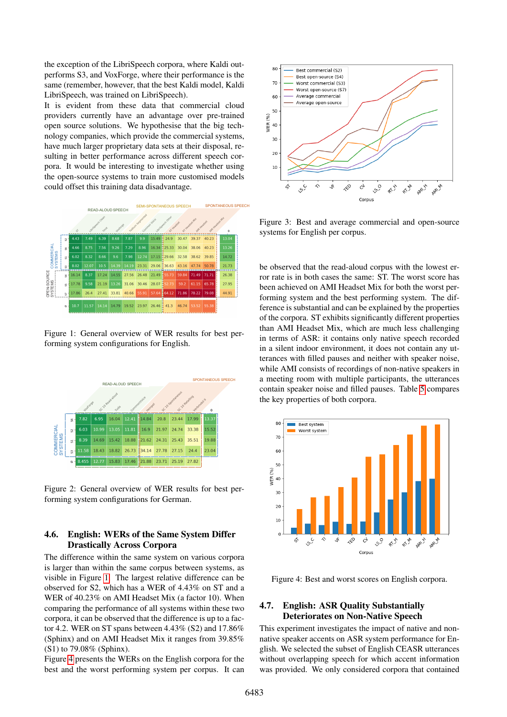the exception of the LibriSpeech corpora, where Kaldi outperforms S3, and VoxForge, where their performance is the same (remember, however, that the best Kaldi model, Kaldi LibriSpeech, was trained on LibriSpeech).

It is evident from these data that commercial cloud providers currently have an advantage over pre-trained open source solutions. We hypothesise that the big technology companies, which provide the commercial systems, have much larger proprietary data sets at their disposal, resulting in better performance across different speech corpora. It would be interesting to investigate whether using the open-source systems to train more customised models could offset this training data disadvantage.



<span id="page-6-2"></span>Figure 1: General overview of WER results for best performing system configurations for English.



<span id="page-6-3"></span>Figure 2: General overview of WER results for best performing system configurations for German.

### <span id="page-6-0"></span>4.6. English: WERs of the Same System Differ Drastically Across Corpora

The difference within the same system on various corpora is larger than within the same corpus between systems, as visible in Figure [1.](#page-6-2) The largest relative difference can be observed for S2, which has a WER of 4.43% on ST and a WER of 40.23% on AMI Headset Mix (a factor 10). When comparing the performance of all systems within these two corpora, it can be observed that the difference is up to a factor 4.2. WER on ST spans between 4.43% (S2) and 17.86% (Sphinx) and on AMI Headset Mix it ranges from 39.85% (S1) to 79.08% (Sphinx).

Figure [4](#page-6-5) presents the WERs on the English corpora for the best and the worst performing system per corpus. It can



<span id="page-6-4"></span>Figure 3: Best and average commercial and open-source systems for English per corpus.

be observed that the read-aloud corpus with the lowest error rate is in both cases the same: ST. The worst score has been achieved on AMI Headset Mix for both the worst performing system and the best performing system. The difference is substantial and can be explained by the properties of the corpora. ST exhibits significantly different properties than AMI Headset Mix, which are much less challenging in terms of ASR: it contains only native speech recorded in a silent indoor environment, it does not contain any utterances with filled pauses and neither with speaker noise, while AMI consists of recordings of non-native speakers in a meeting room with multiple participants, the utterances contain speaker noise and filled pauses. Table [5](#page-7-1) compares the key properties of both corpora.



<span id="page-6-5"></span>Figure 4: Best and worst scores on English corpora.

#### <span id="page-6-1"></span>4.7. English: ASR Quality Substantially Deteriorates on Non-Native Speech

This experiment investigates the impact of native and nonnative speaker accents on ASR system performance for English. We selected the subset of English CEASR utterances without overlapping speech for which accent information was provided. We only considered corpora that contained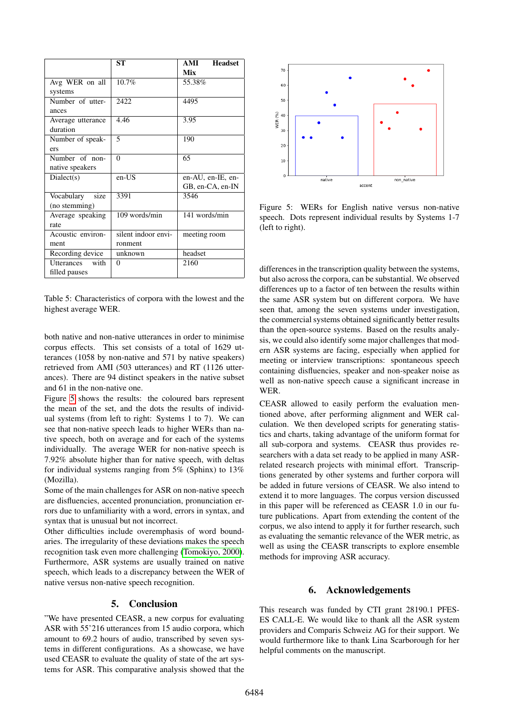|                    | SТ                  | <b>Headset</b><br>AMI |
|--------------------|---------------------|-----------------------|
|                    |                     | Mix                   |
| Avg WER on all     | 10.7%               | 55.38%                |
| systems            |                     |                       |
| Number of utter-   | 2422                | 4495                  |
| ances              |                     |                       |
| Average utterance  | 4.46                | 3.95                  |
| duration           |                     |                       |
| Number of speak-   | 5                   | 190                   |
| ers                |                     |                       |
| Number of non-     | $\theta$            | 65                    |
| native speakers    |                     |                       |
| Dialect(s)         | en-US               | en-AU, en-IE, en-     |
|                    |                     | GB, en-CA, en-IN      |
| size<br>Vocabulary | 3391                | 3546                  |
| (no stemming)      |                     |                       |
| Average speaking   | 109 words/min       | 141 words/min         |
| rate               |                     |                       |
| Acoustic environ-  | silent indoor envi- | meeting room          |
| ment               | ronment             |                       |
| Recording device   | unknown             | headset               |
| with<br>Utterances | $\Omega$            | 2160                  |
| filled pauses      |                     |                       |

<span id="page-7-1"></span>Table 5: Characteristics of corpora with the lowest and the highest average WER.

both native and non-native utterances in order to minimise corpus effects. This set consists of a total of 1629 utterances (1058 by non-native and 571 by native speakers) retrieved from AMI (503 utterances) and RT (1126 utterances). There are 94 distinct speakers in the native subset and 61 in the non-native one.

Figure [5](#page-7-2) shows the results: the coloured bars represent the mean of the set, and the dots the results of individual systems (from left to right: Systems 1 to 7). We can see that non-native speech leads to higher WERs than native speech, both on average and for each of the systems individually. The average WER for non-native speech is 7.92% absolute higher than for native speech, with deltas for individual systems ranging from 5% (Sphinx) to 13% (Mozilla).

Some of the main challenges for ASR on non-native speech are disfluencies, accented pronunciation, pronunciation errors due to unfamiliarity with a word, errors in syntax, and syntax that is unusual but not incorrect.

Other difficulties include overemphasis of word boundaries. The irregularity of these deviations makes the speech recognition task even more challenging [\(Tomokiyo, 2000\)](#page-8-11). Furthermore, ASR systems are usually trained on native speech, which leads to a discrepancy between the WER of native versus non-native speech recognition.

#### 5. Conclusion

<span id="page-7-0"></span>"We have presented CEASR, a new corpus for evaluating ASR with 55'216 utterances from 15 audio corpora, which amount to 69.2 hours of audio, transcribed by seven systems in different configurations. As a showcase, we have used CEASR to evaluate the quality of state of the art systems for ASR. This comparative analysis showed that the



<span id="page-7-2"></span>Figure 5: WERs for English native versus non-native speech. Dots represent individual results by Systems 1-7 (left to right).

differences in the transcription quality between the systems, but also across the corpora, can be substantial. We observed differences up to a factor of ten between the results within the same ASR system but on different corpora. We have seen that, among the seven systems under investigation, the commercial systems obtained significantly better results than the open-source systems. Based on the results analysis, we could also identify some major challenges that modern ASR systems are facing, especially when applied for meeting or interview transcriptions: spontaneous speech containing disfluencies, speaker and non-speaker noise as well as non-native speech cause a significant increase in WER.

CEASR allowed to easily perform the evaluation mentioned above, after performing alignment and WER calculation. We then developed scripts for generating statistics and charts, taking advantage of the uniform format for all sub-corpora and systems. CEASR thus provides researchers with a data set ready to be applied in many ASRrelated research projects with minimal effort. Transcriptions generated by other systems and further corpora will be added in future versions of CEASR. We also intend to extend it to more languages. The corpus version discussed in this paper will be referenced as CEASR 1.0 in our future publications. Apart from extending the content of the corpus, we also intend to apply it for further research, such as evaluating the semantic relevance of the WER metric, as well as using the CEASR transcripts to explore ensemble methods for improving ASR accuracy.

#### 6. Acknowledgements

This research was funded by CTI grant 28190.1 PFES-ES CALL-E. We would like to thank all the ASR system providers and Comparis Schweiz AG for their support. We would furthermore like to thank Lina Scarborough for her helpful comments on the manuscript.